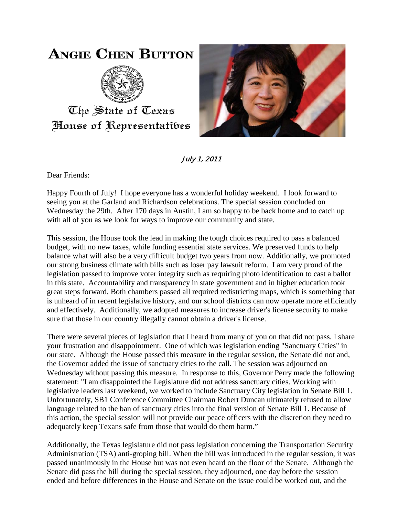## **ANGIE CHEN BUTTON**



The State of Texas House of Representatibes



July 1, 2011

Dear Friends:

Happy Fourth of July! I hope everyone has a wonderful holiday weekend. I look forward to seeing you at the Garland and Richardson celebrations. The special session concluded on Wednesday the 29th. After 170 days in Austin, I am so happy to be back home and to catch up with all of you as we look for ways to improve our community and state.

This session, the House took the lead in making the tough choices required to pass a balanced budget, with no new taxes, while funding essential state services. We preserved funds to help balance what will also be a very difficult budget two years from now. Additionally, we promoted our strong business climate with bills such as loser pay lawsuit reform. I am very proud of the legislation passed to improve voter integrity such as requiring photo identification to cast a ballot in this state. Accountability and transparency in state government and in higher education took great steps forward. Both chambers passed all required redistricting maps, which is something that is unheard of in recent legislative history, and our school districts can now operate more efficiently and effectively. Additionally, we adopted measures to increase driver's license security to make sure that those in our country illegally cannot obtain a driver's license.

There were several pieces of legislation that I heard from many of you on that did not pass. I share your frustration and disappointment. One of which was legislation ending "Sanctuary Cities" in our state. Although the House passed this measure in the regular session, the Senate did not and, the Governor added the issue of sanctuary cities to the call. The session was adjourned on Wednesday without passing this measure. In response to this, Governor Perry made the following statement: "I am disappointed the Legislature did not address sanctuary cities. Working with legislative leaders last weekend, we worked to include Sanctuary City legislation in Senate Bill 1. Unfortunately, SB1 Conference Committee Chairman Robert Duncan ultimately refused to allow language related to the ban of sanctuary cities into the final version of Senate Bill 1. Because of this action, the special session will not provide our peace officers with the discretion they need to adequately keep Texans safe from those that would do them harm."

Additionally, the Texas legislature did not pass legislation concerning the Transportation Security Administration (TSA) anti-groping bill. When the bill was introduced in the regular session, it was passed unanimously in the House but was not even heard on the floor of the Senate. Although the Senate did pass the bill during the special session, they adjourned, one day before the session ended and before differences in the House and Senate on the issue could be worked out, and the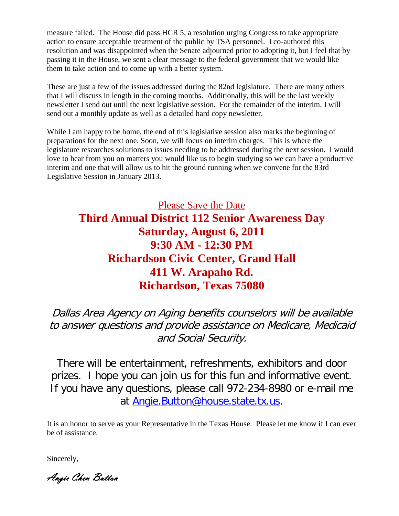measure failed. The House did pass HCR 5, a resolution urging Congress to take appropriate action to ensure acceptable treatment of the public by TSA personnel. I co-authored this resolution and was disappointed when the Senate adjourned prior to adopting it, but I feel that by passing it in the House, we sent a clear message to the federal government that we would like them to take action and to come up with a better system.

These are just a few of the issues addressed during the 82nd legislature. There are many others that I will discuss in length in the coming months. Additionally, this will be the last weekly newsletter I send out until the next legislative session. For the remainder of the interim, I will send out a monthly update as well as a detailed hard copy newsletter.

While I am happy to be home, the end of this legislative session also marks the beginning of preparations for the next one. Soon, we will focus on interim charges. This is where the legislature researches solutions to issues needing to be addressed during the next session. I would love to hear from you on matters you would like us to begin studying so we can have a productive interim and one that will allow us to hit the ground running when we convene for the 83rd Legislative Session in January 2013.

## Please Save the Date **Third Annual District 112 Senior Awareness Day Saturday, August 6, 2011 9:30 AM - 12:30 PM Richardson Civic Center, Grand Hall 411 W. Arapaho Rd. Richardson, Texas 75080**

Dallas Area Agency on Aging benefits counselors will be available to answer questions and provide assistance on Medicare, Medicaid and Social Security.

There will be entertainment, refreshments, exhibitors and door prizes. I hope you can join us for this fun and informative event. If you have any questions, please call 972-234-8980 or e-mail me at [Angie.Button@house.state.tx.us.](mailto:Angie.Button@house.state.tx.us)

It is an honor to serve as your Representative in the Texas House. Please let me know if I can ever be of assistance.

Sincerely,

Angie Chen Button